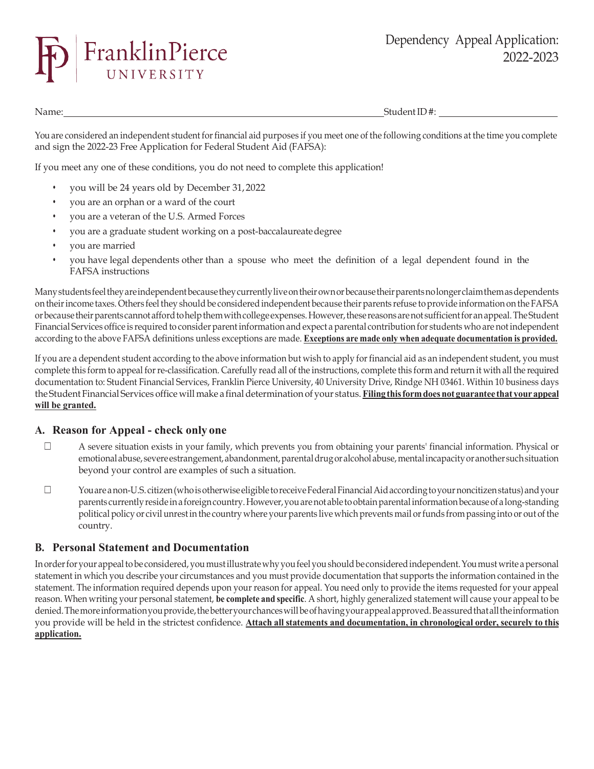

Name: Student ID #:

You are considered an independent student for financial aid purposes if you meet one of the following conditions at the time you complete and sign the 2022-23 Free Application for Federal Student Aid (FAFSA):

If you meet any one of these conditions, you do not need to complete this application!

- you will be 24 years old by December 31,2022
- you are an orphan or a ward of the court
- you are a veteran of the U.S. Armed Forces
- you are a graduate student working on a post-baccalaureatedegree
- you are married
- you have legal dependents other than a spouse who meet the definition of a legal dependent found in the FAFSA instructions

Many students feel they are independent because they currently live on their own or because their parents no longer claim them as dependents on their income taxes. Others feel they should be considered independent because their parents refuse to provide information on the FAFSA orbecausetheirparentscannot afford tohelpthemwithcollege expenses. However,these reasons arenot sufficient foranappeal.TheStudent Financial Services office is required to consider parent information and expect a parental contribution for students who are not independent according to the above FAFSA definitions unless exceptions are made. **Exceptions are made only when adequate documentation is provided.**

If you are a dependent student according to the above information but wish to apply for financial aid as an independent student, you must complete this form to appeal for re-classification. Carefully read all of the instructions, complete this form and return it with all the required documentation to: Student Financial Services, Franklin Pierce University, 40 University Drive, Rindge NH 03461. Within 10 business days the Student Financial Services office will make a finaldetermination of your status. **Filing thisformdoes not guarantee that yourappeal will be granted.**

## **A. Reason for Appeal - check only one**

- ☐ A severe situation exists in your family, which prevents you from obtaining your parents' financial information. Physical or emotional abuse, severe estrangement, abandonment, parental drug or alcoholabuse, mental incapacity or another such situation beyond your control are examples of such a situation.
- ☐ Youare a non-U.S. citizen(whoisotherwiseeligibletoreceiveFederalFinancialAidaccordingtoyournoncitizenstatus)andyour parents currentlyresidein a foreign country.However,youarenot able toobtainparentalinformationbecauseof a long-standing political policy or civil unrest in the country where your parents live which prevents mail or funds from passing into or out of the country.

## **B. Personal Statement and Documentation**

In order for your appeal to be considered, you must illustrate why you feel you should be considered independent. You must write a personal statement in which you describe your circumstances and you must provide documentation that supports the information contained in the statement. The information required depends upon your reason for appeal. You need only to provide the items requested for your appeal reason. When writing your personal statement, **be complete and specific**. A short, highly generalized statement will cause your appeal to be denied. The more information you provide, the better your chances will be of having your appeal approved. Be assured that all the information you provide will be held in the strictest confidence. **Attach all statements and documentation, in chronological order, securely to this application.**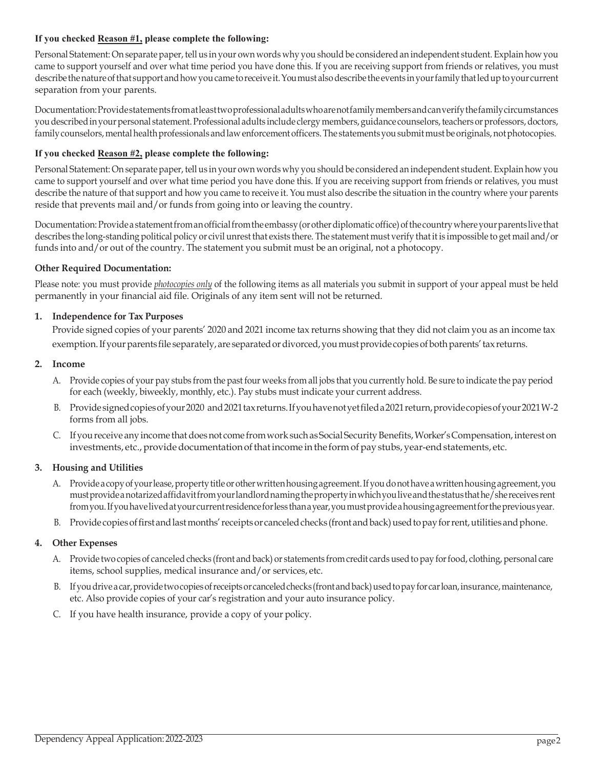### **If you checked Reason #1, please complete the following:**

Personal Statement: On separate paper, tell us in your own words why you should be considered an independent student. Explain how you came to support yourself and over what time period you have done this. If you are receiving support from friends or relatives, you must describe the nature of that support and how you came to receive it. You must also describe the events in your family that led up to your current separation from your parents.

Documentation:Provide statements from atleasttwoprofessionaladultswhoarenotfamilymembersandcanverifythefamilycircumstances youdescribedinyour personal statement. Professional adults include clergy members, guidance counselors,teachersorprofessors,doctors, family counselors, mental health professionals and law enforcement officers. The statements you submit must be originals, not photocopies.

### **If you checked Reason #2, please complete the following:**

Personal Statement: On separate paper, tell us in your own words why you should be considered an independent student. Explain how you came to support yourself and over what time period you have done this. If you are receiving support from friends or relatives, you must describe the nature of that support and how you came to receive it. You must also describe the situation in the country where your parents reside that prevents mail and/or funds from going into or leaving the country.

Documentation: Provide a statement from an official from the embassy (or other diplomatic office) of the country where your parents live that describes the long-standing political policy or civil unrest that exists there. The statement must verify thatit is impossible to get mail and/or funds into and/or out of the country. The statement you submit must be an original, not a photocopy.

#### **Other Required Documentation:**

Please note: you must provide *photocopies only* of the following items as all materials you submit in support of your appeal must be held permanently in your financial aid file. Originals of any item sent will not be returned.

#### **1. Independence for Tax Purposes**

Provide signed copies of your parents' 2020 and 2021 income tax returns showing that they did not claim you as an income tax exemption. If your parents file separately, are separated or divorced, you must provide copies of both parents' tax returns.

#### **2. Income**

- A. Provide copies of your pay stubs from the past four weeks from all jobs that you currently hold. Be sure to indicate the pay period for each (weekly, biweekly, monthly, etc.). Pay stubs must indicate your current address.
- B. Providesigned copies of your 2020 and 2021 tax returns. If you have not yet filed a 2021 return, provide copies of your 2021 W-2 forms from all jobs.
- C. If you receive any income that does not come from work such as Social Security Benefits, Worker's Compensation, interest on investments, etc., provide documentation of that income in the form of pay stubs, year-end statements, etc.

### **3. Housing and Utilities**

- A. Provide a copy of your lease, property title or other written housing agreement. If you do not have a written housing agreement, you mustprovidea notarized affidavit from yourlandlordnamingthepropertyinwhichyouliveandthestatusthathe/shereceives rent from you. If you have lived at your current residence for less than a year, you must provide a housing agreement for the previous year.
- B. Provide copies of first and last months' receipts or canceled checks (front and back) used to pay for rent, utilities and phone.

### **4. Other Expenses**

- A. Provide two copies of canceled checks (front and back) or statements from credit cards usedto pay forfood, clothing, personal care items, school supplies, medical insurance and/or services, etc.
- B. If you drive a car, provide two copies of receipts or canceled checks (front and back) used to pay for carloan, insurance, maintenance, etc. Also provide copies of your car's registration and your auto insurance policy.
- C. If you have health insurance, provide a copy of your policy.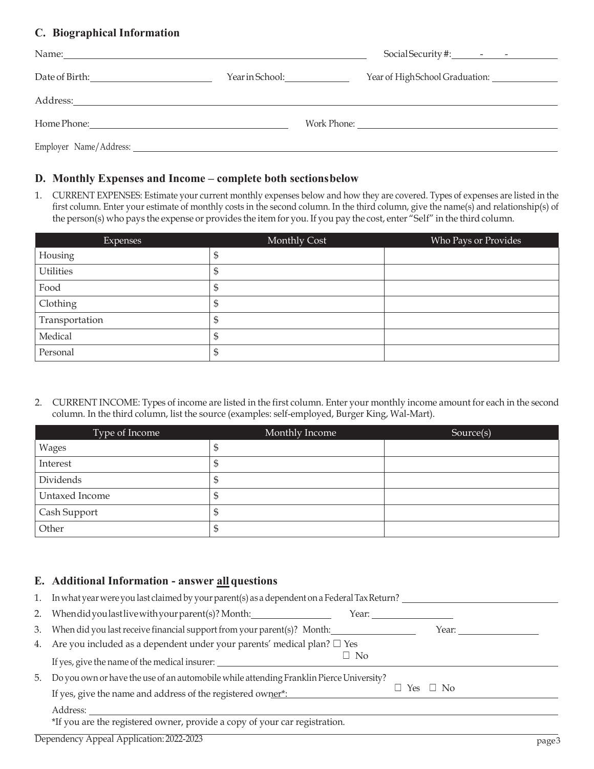# **C. Biographical Information**

| Name:          |                 |                                |
|----------------|-----------------|--------------------------------|
| Date of Birth: | Year in School: | Year of HighSchool Graduation: |
| Address:       |                 |                                |
|                |                 |                                |
|                |                 |                                |

## **D. Monthly Expenses and Income – complete both sectionsbelow**

1. CURRENT EXPENSES: Estimate your current monthly expenses below and how they are covered. Types of expenses are listed in the first column. Enter your estimate of monthly costs in the second column. In the third column, give the name(s) and relationship(s) of the person(s) who pays the expense or provides the item for you. If you pay the cost, enter "Self" in the third column.

| <b>Expenses</b>  | Monthly Cost | Who Pays or Provides |
|------------------|--------------|----------------------|
| Housing          | ⊅            |                      |
| <b>Utilities</b> | ⊅            |                      |
| Food             | J            |                      |
| Clothing         | D            |                      |
| Transportation   | J            |                      |
| Medical          | Œ            |                      |
| Personal         | D            |                      |

2. CURRENT INCOME: Types of income are listed in the first column. Enter your monthly income amount for each in the second column. In the third column, list the source (examples: self-employed, Burger King, Wal-Mart).

| Type of Income | Monthly Income | Source(s) |
|----------------|----------------|-----------|
| Wages          | Φ              |           |
| Interest       | D              |           |
| Dividends      | D              |           |
| Untaxed Income | ⊅              |           |
| Cash Support   | Φ              |           |
| Other          | D              |           |

# **E. Additional Information - answer all questions**

| 1. | In what year were you last claimed by your parent(s) as a dependent on a Federal Tax Return? |           |     |           |       |
|----|----------------------------------------------------------------------------------------------|-----------|-----|-----------|-------|
| 2. | When did you last live with your parent(s)? Month:                                           | Year:     |     |           |       |
| 3. | When did you last receive financial support from your parent(s)? Month:                      |           |     | Year:     |       |
|    | 4. Are you included as a dependent under your parents' medical plan? $\square$ Yes           |           |     |           |       |
|    | If yes, give the name of the medical insurer:                                                | $\Box$ No |     |           |       |
| 5. | Do you own or have the use of an automobile while attending Franklin Pierce University?      |           |     |           |       |
|    | If yes, give the name and address of the registered owner*:                                  |           | Yes | $\Box$ No |       |
|    | Address:                                                                                     |           |     |           |       |
|    | *If you are the registered owner, provide a copy of your car registration.                   |           |     |           |       |
|    | Dependency Appeal Application: 2022-2023                                                     |           |     |           | page3 |